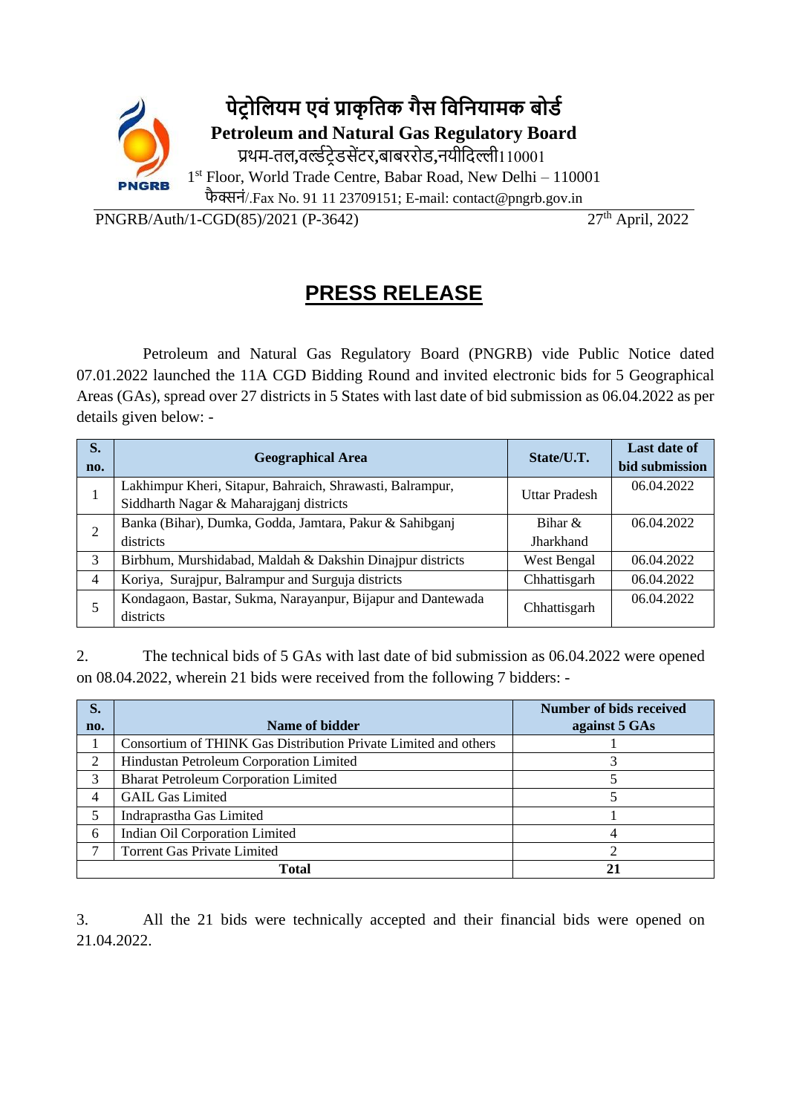

PNGRB/Auth/1-CGD(85)/2021 (P-3642) 27th April, 2022

## **PRESS RELEASE**

Petroleum and Natural Gas Regulatory Board (PNGRB) vide Public Notice dated 07.01.2022 launched the 11A CGD Bidding Round and invited electronic bids for 5 Geographical Areas (GAs), spread over 27 districts in 5 States with last date of bid submission as 06.04.2022 as per details given below: -

| S.<br>no.      | <b>Geographical Area</b>                                    | State/U.T.           | <b>Last date of</b><br>bid submission |
|----------------|-------------------------------------------------------------|----------------------|---------------------------------------|
|                | Lakhimpur Kheri, Sitapur, Bahraich, Shrawasti, Balrampur,   | <b>Uttar Pradesh</b> | 06.04.2022                            |
|                | Siddharth Nagar & Maharajganj districts                     |                      |                                       |
| $\overline{2}$ | Banka (Bihar), Dumka, Godda, Jamtara, Pakur & Sahibganj     | Bihar $\&$           | 06.04.2022                            |
|                | districts                                                   | Jharkhand            |                                       |
| 3              | Birbhum, Murshidabad, Maldah & Dakshin Dinajpur districts   | West Bengal          | 06.04.2022                            |
| 4              | Koriya, Surajpur, Balrampur and Surguja districts           | Chhattisgarh         | 06.04.2022                            |
| 5              | Kondagaon, Bastar, Sukma, Narayanpur, Bijapur and Dantewada | Chhattisgarh         | 06.04.2022                            |
|                | districts                                                   |                      |                                       |

2. The technical bids of 5 GAs with last date of bid submission as 06.04.2022 were opened on 08.04.2022, wherein 21 bids were received from the following 7 bidders: -

| S.  |                                                                 | <b>Number of bids received</b> |
|-----|-----------------------------------------------------------------|--------------------------------|
| no. | Name of bidder                                                  | against 5 GAs                  |
|     | Consortium of THINK Gas Distribution Private Limited and others |                                |
| 2   | Hindustan Petroleum Corporation Limited                         |                                |
| 3   | <b>Bharat Petroleum Corporation Limited</b>                     |                                |
| 4   | <b>GAIL Gas Limited</b>                                         |                                |
| 5   | Indraprastha Gas Limited                                        |                                |
| 6   | Indian Oil Corporation Limited                                  |                                |
|     | <b>Torrent Gas Private Limited</b>                              |                                |
|     | Total                                                           |                                |

3. All the 21 bids were technically accepted and their financial bids were opened on 21.04.2022.